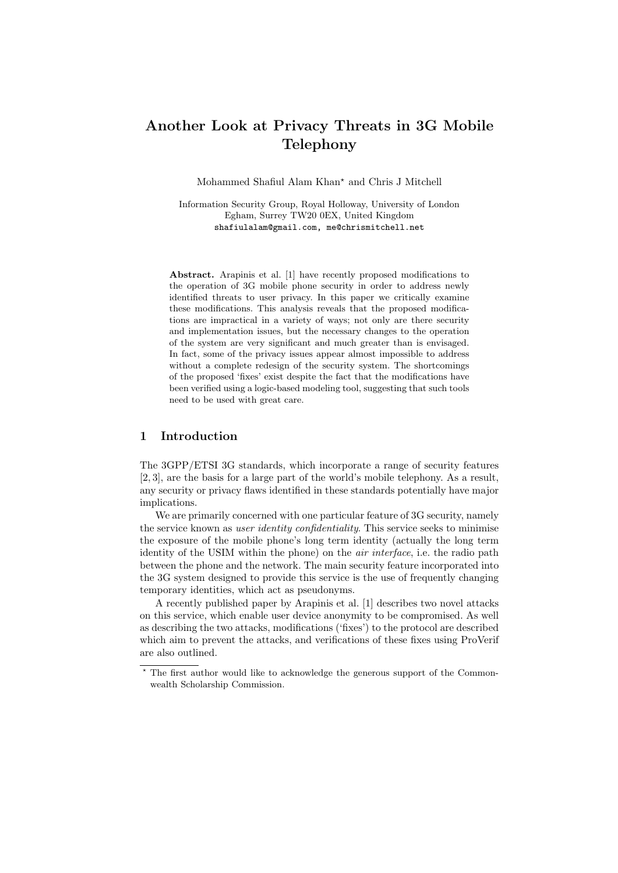# **Another Look at Privacy Threats in 3G Mobile Telephony**

Mohammed Shafiul Alam Khan*<sup>⋆</sup>* and Chris J Mitchell

Information Security Group, Royal Holloway, University of London Egham, Surrey TW20 0EX, United Kingdom shafiulalam@gmail.com, me@chrismitchell.net

**Abstract.** Arapinis et al. [1] have recently proposed modifications to the operation of 3G mobile phone security in order to address newly identified threats to user privacy. In this paper we critically examine these modifications. This analysis reveals that the proposed modifications are impractical in a variety of ways; not only are there security and implementation issues, but the necessary changes to the operation of the system are very significant and much greater than is envisaged. In fact, some of the privacy issues appear almost impossible to address without a complete redesign of the security system. The shortcomings of the proposed 'fixes' exist despite the fact that the modifications have been verified using a logic-based modeling tool, suggesting that such tools need to be used with great care.

# **1 Introduction**

The 3GPP/ETSI 3G standards, which incorporate a range of security features [2, 3], are the basis for a large part of the world's mobile telephony. As a result, any security or privacy flaws identified in these standards potentially have major implications.

We are primarily concerned with one particular feature of 3G security, namely the service known as *user identity confidentiality*. This service seeks to minimise the exposure of the mobile phone's long term identity (actually the long term identity of the USIM within the phone) on the *air interface*, i.e. the radio path between the phone and the network. The main security feature incorporated into the 3G system designed to provide this service is the use of frequently changing temporary identities, which act as pseudonyms.

A recently published paper by Arapinis et al. [1] describes two novel attacks on this service, which enable user device anonymity to be compromised. As well as describing the two attacks, modifications ('fixes') to the protocol are described which aim to prevent the attacks, and verifications of these fixes using ProVerif are also outlined.

*<sup>⋆</sup>* The first author would like to acknowledge the generous support of the Commonwealth Scholarship Commission.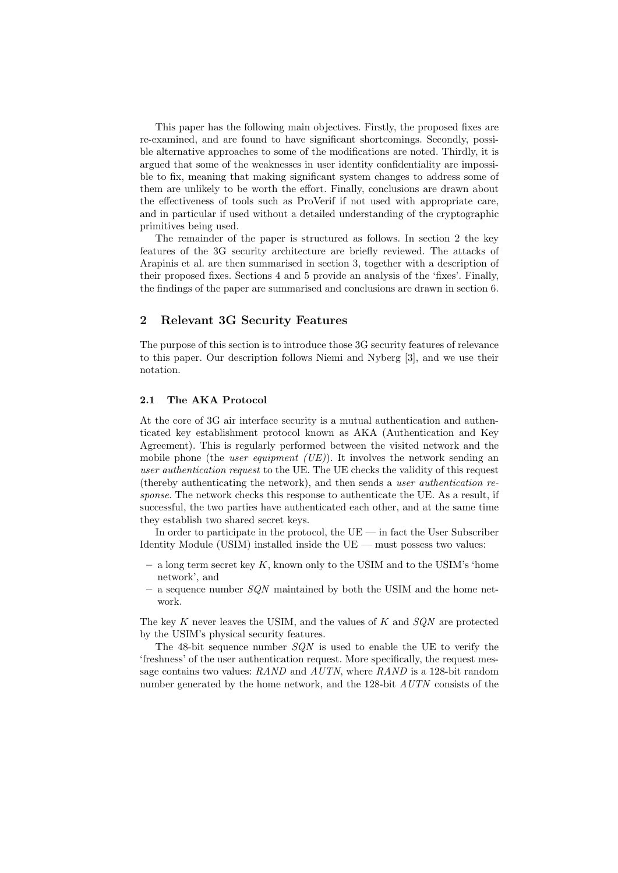This paper has the following main objectives. Firstly, the proposed fixes are re-examined, and are found to have significant shortcomings. Secondly, possible alternative approaches to some of the modifications are noted. Thirdly, it is argued that some of the weaknesses in user identity confidentiality are impossible to fix, meaning that making significant system changes to address some of them are unlikely to be worth the effort. Finally, conclusions are drawn about the effectiveness of tools such as ProVerif if not used with appropriate care, and in particular if used without a detailed understanding of the cryptographic primitives being used.

The remainder of the paper is structured as follows. In section 2 the key features of the 3G security architecture are briefly reviewed. The attacks of Arapinis et al. are then summarised in section 3, together with a description of their proposed fixes. Sections 4 and 5 provide an analysis of the 'fixes'. Finally, the findings of the paper are summarised and conclusions are drawn in section 6.

#### **2 Relevant 3G Security Features**

The purpose of this section is to introduce those 3G security features of relevance to this paper. Our description follows Niemi and Nyberg [3], and we use their notation.

#### **2.1 The AKA Protocol**

At the core of 3G air interface security is a mutual authentication and authenticated key establishment protocol known as AKA (Authentication and Key Agreement). This is regularly performed between the visited network and the mobile phone (the *user equipment (UE)*). It involves the network sending an *user authentication request* to the UE. The UE checks the validity of this request (thereby authenticating the network), and then sends a *user authentication response*. The network checks this response to authenticate the UE. As a result, if successful, the two parties have authenticated each other, and at the same time they establish two shared secret keys.

In order to participate in the protocol, the UE — in fact the User Subscriber Identity Module (USIM) installed inside the  $UE$  — must possess two values:

- **–** a long term secret key *K*, known only to the USIM and to the USIM's 'home network', and
- **–** a sequence number *SQN* maintained by both the USIM and the home network.

The key *K* never leaves the USIM, and the values of *K* and *SQN* are protected by the USIM's physical security features.

The 48-bit sequence number *SQN* is used to enable the UE to verify the 'freshness' of the user authentication request. More specifically, the request message contains two values: *RAND* and *AUTN*, where *RAND* is a 128-bit random number generated by the home network, and the 128-bit *AUTN* consists of the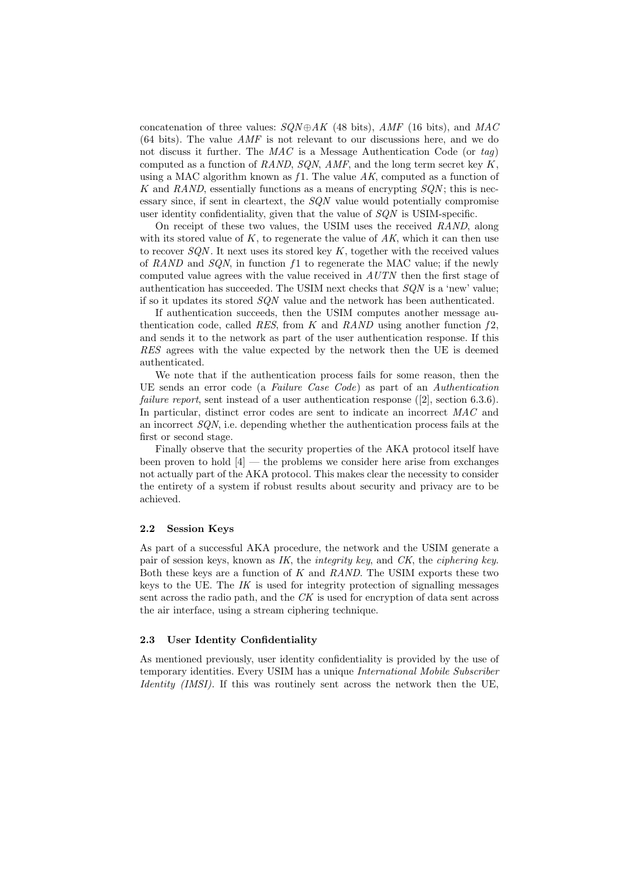concatenation of three values:  $SQN \oplus AK$  (48 bits),  $AMF$  (16 bits), and  $MAC$ (64 bits). The value *AMF* is not relevant to our discussions here, and we do not discuss it further. The *MAC* is a Message Authentication Code (or *tag*) computed as a function of *RAND*, *SQN*, *AMF*, and the long term secret key *K*, using a MAC algorithm known as *f* 1. The value *AK*, computed as a function of *K* and *RAND*, essentially functions as a means of encrypting *SQN* ; this is necessary since, if sent in cleartext, the *SQN* value would potentially compromise user identity confidentiality, given that the value of *SQN* is USIM-specific.

On receipt of these two values, the USIM uses the received *RAND*, along with its stored value of *K*, to regenerate the value of *AK*, which it can then use to recover *SQN* . It next uses its stored key *K*, together with the received values of *RAND* and *SQN*, in function *f*1 to regenerate the MAC value; if the newly computed value agrees with the value received in *AUTN* then the first stage of authentication has succeeded. The USIM next checks that *SQN* is a 'new' value; if so it updates its stored *SQN* value and the network has been authenticated.

If authentication succeeds, then the USIM computes another message authentication code, called *RES*, from *K* and *RAND* using another function *f* 2, and sends it to the network as part of the user authentication response. If this *RES* agrees with the value expected by the network then the UE is deemed authenticated.

We note that if the authentication process fails for some reason, then the UE sends an error code (a *Failure Case Code*) as part of an *Authentication failure report*, sent instead of a user authentication response ([2], section 6.3.6). In particular, distinct error codes are sent to indicate an incorrect *MAC* and an incorrect *SQN*, i.e. depending whether the authentication process fails at the first or second stage.

Finally observe that the security properties of the AKA protocol itself have been proven to hold  $[4]$  — the problems we consider here arise from exchanges not actually part of the AKA protocol. This makes clear the necessity to consider the entirety of a system if robust results about security and privacy are to be achieved.

#### **2.2 Session Keys**

As part of a successful AKA procedure, the network and the USIM generate a pair of session keys, known as *IK*, the *integrity key*, and *CK*, the *ciphering key*. Both these keys are a function of *K* and *RAND*. The USIM exports these two keys to the UE. The *IK* is used for integrity protection of signalling messages sent across the radio path, and the *CK* is used for encryption of data sent across the air interface, using a stream ciphering technique.

#### **2.3 User Identity Confidentiality**

As mentioned previously, user identity confidentiality is provided by the use of temporary identities. Every USIM has a unique *International Mobile Subscriber Identity (IMSI)*. If this was routinely sent across the network then the UE,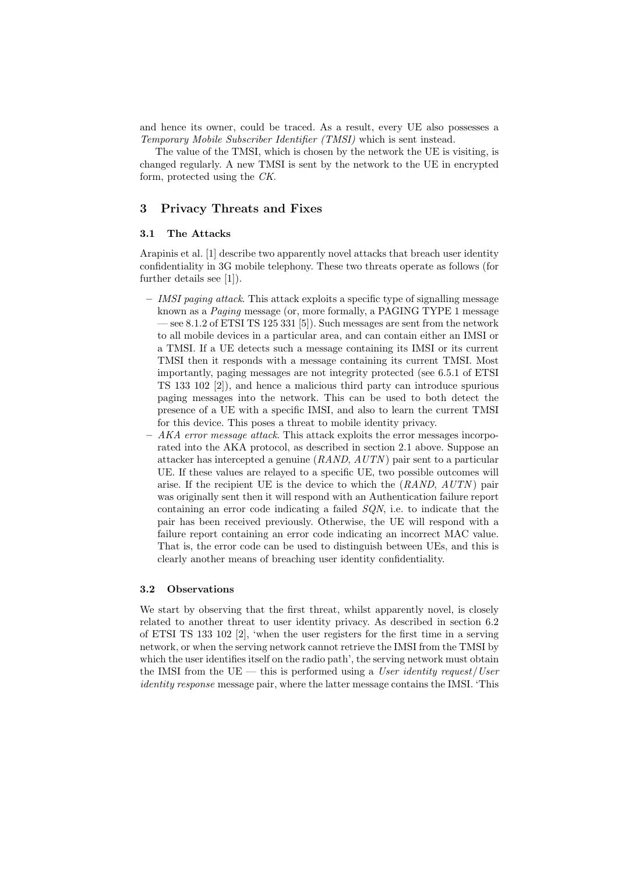and hence its owner, could be traced. As a result, every UE also possesses a *Temporary Mobile Subscriber Identifier (TMSI)* which is sent instead.

The value of the TMSI, which is chosen by the network the UE is visiting, is changed regularly. A new TMSI is sent by the network to the UE in encrypted form, protected using the *CK*.

## **3 Privacy Threats and Fixes**

#### **3.1 The Attacks**

Arapinis et al. [1] describe two apparently novel attacks that breach user identity confidentiality in 3G mobile telephony. These two threats operate as follows (for further details see [1]).

- **–** *IMSI paging attack*. This attack exploits a specific type of signalling message known as a *Paging* message (or, more formally, a PAGING TYPE 1 message — see 8.1.2 of ETSI TS 125 331 [5]). Such messages are sent from the network to all mobile devices in a particular area, and can contain either an IMSI or a TMSI. If a UE detects such a message containing its IMSI or its current TMSI then it responds with a message containing its current TMSI. Most importantly, paging messages are not integrity protected (see 6.5.1 of ETSI TS 133 102 [2]), and hence a malicious third party can introduce spurious paging messages into the network. This can be used to both detect the presence of a UE with a specific IMSI, and also to learn the current TMSI for this device. This poses a threat to mobile identity privacy.
- **–** *AKA error message attack*. This attack exploits the error messages incorporated into the AKA protocol, as described in section 2.1 above. Suppose an attacker has intercepted a genuine (*RAND*, *AUTN* ) pair sent to a particular UE. If these values are relayed to a specific UE, two possible outcomes will arise. If the recipient UE is the device to which the (*RAND*, *AUTN* ) pair was originally sent then it will respond with an Authentication failure report containing an error code indicating a failed *SQN*, i.e. to indicate that the pair has been received previously. Otherwise, the UE will respond with a failure report containing an error code indicating an incorrect MAC value. That is, the error code can be used to distinguish between UEs, and this is clearly another means of breaching user identity confidentiality.

#### **3.2 Observations**

We start by observing that the first threat, whilst apparently novel, is closely related to another threat to user identity privacy. As described in section 6.2 of ETSI TS 133 102 [2], 'when the user registers for the first time in a serving network, or when the serving network cannot retrieve the IMSI from the TMSI by which the user identifies itself on the radio path', the serving network must obtain the IMSI from the UE — this is performed using a *User identity request*/*User identity response* message pair, where the latter message contains the IMSI. 'This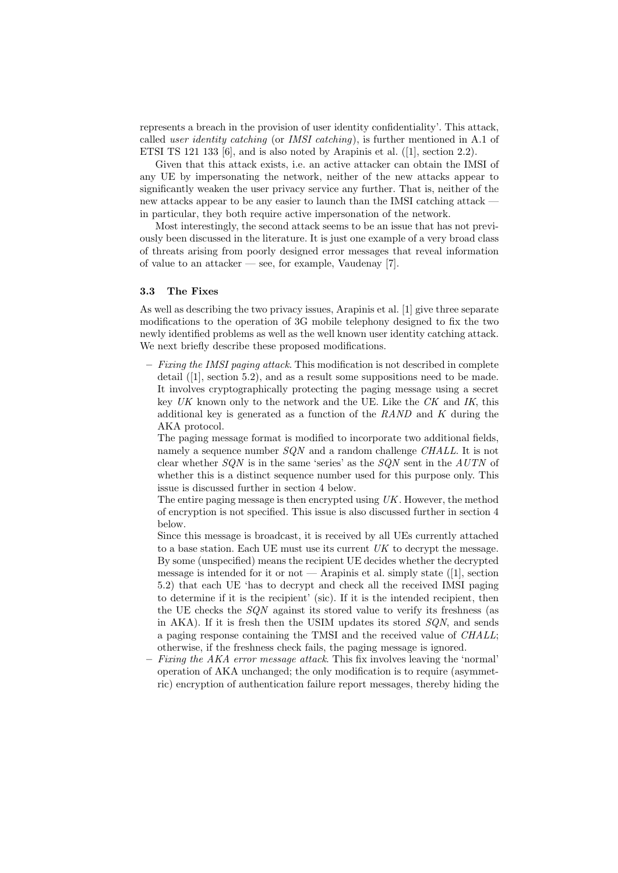represents a breach in the provision of user identity confidentiality'. This attack, called *user identity catching* (or *IMSI catching*), is further mentioned in A.1 of ETSI TS 121 133 [6], and is also noted by Arapinis et al. ([1], section 2.2).

Given that this attack exists, i.e. an active attacker can obtain the IMSI of any UE by impersonating the network, neither of the new attacks appear to significantly weaken the user privacy service any further. That is, neither of the new attacks appear to be any easier to launch than the IMSI catching attack in particular, they both require active impersonation of the network.

Most interestingly, the second attack seems to be an issue that has not previously been discussed in the literature. It is just one example of a very broad class of threats arising from poorly designed error messages that reveal information of value to an attacker — see, for example, Vaudenay [7].

#### **3.3 The Fixes**

As well as describing the two privacy issues, Arapinis et al. [1] give three separate modifications to the operation of 3G mobile telephony designed to fix the two newly identified problems as well as the well known user identity catching attack. We next briefly describe these proposed modifications.

**–** *Fixing the IMSI paging attack*. This modification is not described in complete detail ([1], section 5.2), and as a result some suppositions need to be made. It involves cryptographically protecting the paging message using a secret key *UK* known only to the network and the UE. Like the *CK* and *IK*, this additional key is generated as a function of the *RAND* and *K* during the AKA protocol.

The paging message format is modified to incorporate two additional fields, namely a sequence number *SQN* and a random challenge *CHALL*. It is not clear whether *SQN* is in the same 'series' as the *SQN* sent in the *AUTN* of whether this is a distinct sequence number used for this purpose only. This issue is discussed further in section 4 below.

The entire paging message is then encrypted using *UK*. However, the method of encryption is not specified. This issue is also discussed further in section 4 below.

Since this message is broadcast, it is received by all UEs currently attached to a base station. Each UE must use its current *UK* to decrypt the message. By some (unspecified) means the recipient UE decides whether the decrypted message is intended for it or not — Arapinis et al. simply state  $([1],$  section 5.2) that each UE 'has to decrypt and check all the received IMSI paging to determine if it is the recipient' (sic). If it is the intended recipient, then the UE checks the *SQN* against its stored value to verify its freshness (as in AKA). If it is fresh then the USIM updates its stored *SQN*, and sends a paging response containing the TMSI and the received value of *CHALL*; otherwise, if the freshness check fails, the paging message is ignored.

**–** *Fixing the AKA error message attack*. This fix involves leaving the 'normal' operation of AKA unchanged; the only modification is to require (asymmetric) encryption of authentication failure report messages, thereby hiding the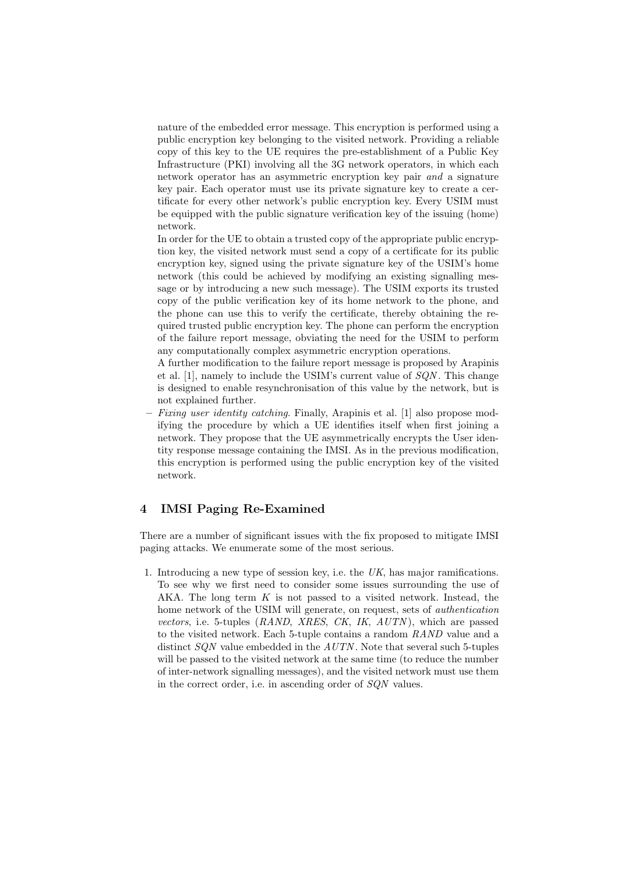nature of the embedded error message. This encryption is performed using a public encryption key belonging to the visited network. Providing a reliable copy of this key to the UE requires the pre-establishment of a Public Key Infrastructure (PKI) involving all the 3G network operators, in which each network operator has an asymmetric encryption key pair *and* a signature key pair. Each operator must use its private signature key to create a certificate for every other network's public encryption key. Every USIM must be equipped with the public signature verification key of the issuing (home) network.

In order for the UE to obtain a trusted copy of the appropriate public encryption key, the visited network must send a copy of a certificate for its public encryption key, signed using the private signature key of the USIM's home network (this could be achieved by modifying an existing signalling message or by introducing a new such message). The USIM exports its trusted copy of the public verification key of its home network to the phone, and the phone can use this to verify the certificate, thereby obtaining the required trusted public encryption key. The phone can perform the encryption of the failure report message, obviating the need for the USIM to perform any computationally complex asymmetric encryption operations.

A further modification to the failure report message is proposed by Arapinis et al. [1], namely to include the USIM's current value of *SQN* . This change is designed to enable resynchronisation of this value by the network, but is not explained further.

**–** *Fixing user identity catching*. Finally, Arapinis et al. [1] also propose modifying the procedure by which a UE identifies itself when first joining a network. They propose that the UE asymmetrically encrypts the User identity response message containing the IMSI. As in the previous modification, this encryption is performed using the public encryption key of the visited network.

## **4 IMSI Paging Re-Examined**

There are a number of significant issues with the fix proposed to mitigate IMSI paging attacks. We enumerate some of the most serious.

1. Introducing a new type of session key, i.e. the *UK*, has major ramifications. To see why we first need to consider some issues surrounding the use of AKA. The long term *K* is not passed to a visited network. Instead, the home network of the USIM will generate, on request, sets of *authentication vectors*, i.e. 5-tuples (*RAND*, *XRES*, *CK*, *IK*, *AUTN* ), which are passed to the visited network. Each 5-tuple contains a random *RAND* value and a distinct *SQN* value embedded in the *AUTN* . Note that several such 5-tuples will be passed to the visited network at the same time (to reduce the number of inter-network signalling messages), and the visited network must use them in the correct order, i.e. in ascending order of *SQN* values.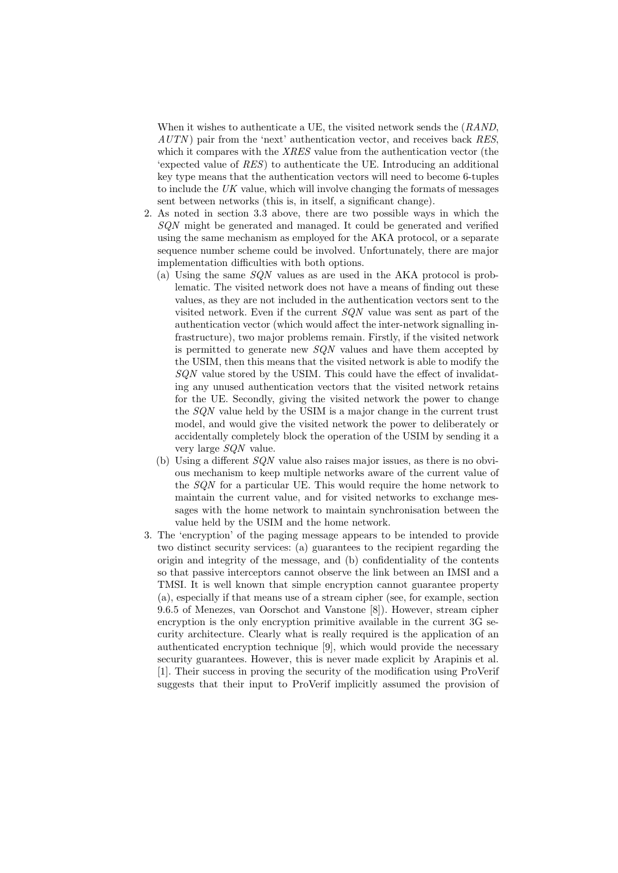When it wishes to authenticate a UE, the visited network sends the (*RAND*, *AUTN* ) pair from the 'next' authentication vector, and receives back *RES*, which it compares with the *XRES* value from the authentication vector (the 'expected value of *RES*) to authenticate the UE. Introducing an additional key type means that the authentication vectors will need to become 6-tuples to include the *UK* value, which will involve changing the formats of messages sent between networks (this is, in itself, a significant change).

- 2. As noted in section 3.3 above, there are two possible ways in which the *SQN* might be generated and managed. It could be generated and verified using the same mechanism as employed for the AKA protocol, or a separate sequence number scheme could be involved. Unfortunately, there are major implementation difficulties with both options.
	- (a) Using the same *SQN* values as are used in the AKA protocol is problematic. The visited network does not have a means of finding out these values, as they are not included in the authentication vectors sent to the visited network. Even if the current *SQN* value was sent as part of the authentication vector (which would affect the inter-network signalling infrastructure), two major problems remain. Firstly, if the visited network is permitted to generate new *SQN* values and have them accepted by the USIM, then this means that the visited network is able to modify the *SQN* value stored by the USIM. This could have the effect of invalidating any unused authentication vectors that the visited network retains for the UE. Secondly, giving the visited network the power to change the *SQN* value held by the USIM is a major change in the current trust model, and would give the visited network the power to deliberately or accidentally completely block the operation of the USIM by sending it a very large *SQN* value.
	- (b) Using a different *SQN* value also raises major issues, as there is no obvious mechanism to keep multiple networks aware of the current value of the *SQN* for a particular UE. This would require the home network to maintain the current value, and for visited networks to exchange messages with the home network to maintain synchronisation between the value held by the USIM and the home network.
- 3. The 'encryption' of the paging message appears to be intended to provide two distinct security services: (a) guarantees to the recipient regarding the origin and integrity of the message, and (b) confidentiality of the contents so that passive interceptors cannot observe the link between an IMSI and a TMSI. It is well known that simple encryption cannot guarantee property (a), especially if that means use of a stream cipher (see, for example, section 9.6.5 of Menezes, van Oorschot and Vanstone [8]). However, stream cipher encryption is the only encryption primitive available in the current 3G security architecture. Clearly what is really required is the application of an authenticated encryption technique [9], which would provide the necessary security guarantees. However, this is never made explicit by Arapinis et al. [1]. Their success in proving the security of the modification using ProVerif suggests that their input to ProVerif implicitly assumed the provision of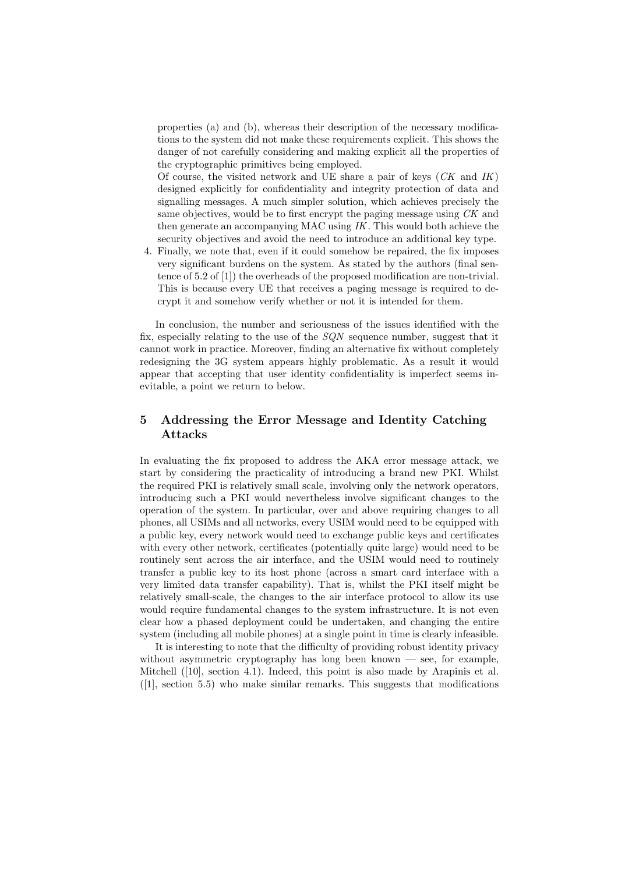properties (a) and (b), whereas their description of the necessary modifications to the system did not make these requirements explicit. This shows the danger of not carefully considering and making explicit all the properties of the cryptographic primitives being employed.

Of course, the visited network and UE share a pair of keys (*CK* and *IK*) designed explicitly for confidentiality and integrity protection of data and signalling messages. A much simpler solution, which achieves precisely the same objectives, would be to first encrypt the paging message using *CK* and then generate an accompanying MAC using *IK*. This would both achieve the security objectives and avoid the need to introduce an additional key type.

4. Finally, we note that, even if it could somehow be repaired, the fix imposes very significant burdens on the system. As stated by the authors (final sentence of 5.2 of [1]) the overheads of the proposed modification are non-trivial. This is because every UE that receives a paging message is required to decrypt it and somehow verify whether or not it is intended for them.

In conclusion, the number and seriousness of the issues identified with the fix, especially relating to the use of the *SQN* sequence number, suggest that it cannot work in practice. Moreover, finding an alternative fix without completely redesigning the 3G system appears highly problematic. As a result it would appear that accepting that user identity confidentiality is imperfect seems inevitable, a point we return to below.

# **5 Addressing the Error Message and Identity Catching Attacks**

In evaluating the fix proposed to address the AKA error message attack, we start by considering the practicality of introducing a brand new PKI. Whilst the required PKI is relatively small scale, involving only the network operators, introducing such a PKI would nevertheless involve significant changes to the operation of the system. In particular, over and above requiring changes to all phones, all USIMs and all networks, every USIM would need to be equipped with a public key, every network would need to exchange public keys and certificates with every other network, certificates (potentially quite large) would need to be routinely sent across the air interface, and the USIM would need to routinely transfer a public key to its host phone (across a smart card interface with a very limited data transfer capability). That is, whilst the PKI itself might be relatively small-scale, the changes to the air interface protocol to allow its use would require fundamental changes to the system infrastructure. It is not even clear how a phased deployment could be undertaken, and changing the entire system (including all mobile phones) at a single point in time is clearly infeasible.

It is interesting to note that the difficulty of providing robust identity privacy without asymmetric cryptography has long been known  $-$  see, for example, Mitchell ([10], section 4.1). Indeed, this point is also made by Arapinis et al.  $(1)$ , section 5.5) who make similar remarks. This suggests that modifications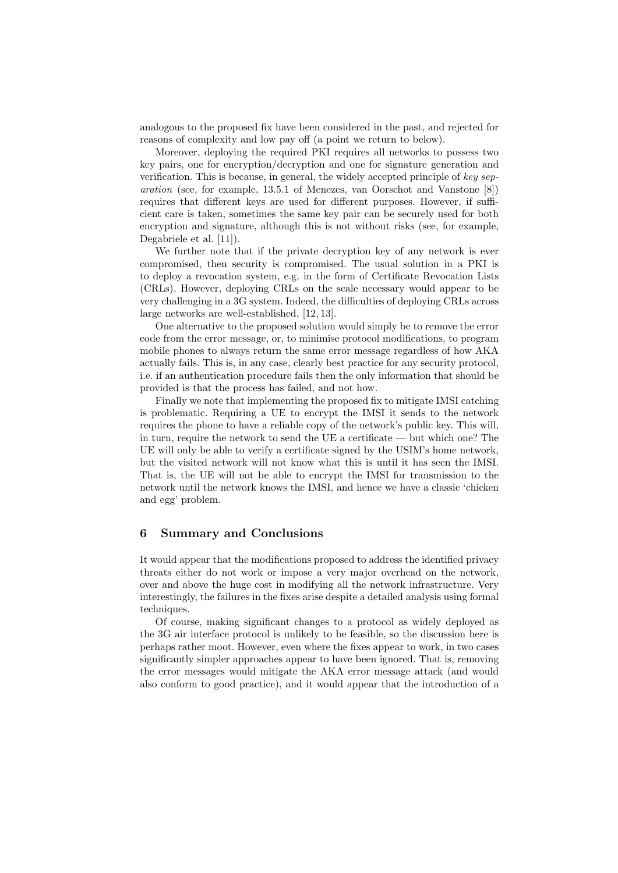analogous to the proposed fix have been considered in the past, and rejected for reasons of complexity and low pay off (a point we return to below).

Moreover, deploying the required PKI requires all networks to possess two key pairs, one for encryption/decryption and one for signature generation and verification. This is because, in general, the widely accepted principle of *key separation* (see, for example, 13.5.1 of Menezes, van Oorschot and Vanstone [8]) requires that different keys are used for different purposes. However, if sufficient care is taken, sometimes the same key pair can be securely used for both encryption and signature, although this is not without risks (see, for example, Degabriele et al. [11]).

We further note that if the private decryption key of any network is ever compromised, then security is compromised. The usual solution in a PKI is to deploy a revocation system, e.g. in the form of Certificate Revocation Lists (CRLs). However, deploying CRLs on the scale necessary would appear to be very challenging in a 3G system. Indeed, the difficulties of deploying CRLs across large networks are well-established, [12, 13].

One alternative to the proposed solution would simply be to remove the error code from the error message, or, to minimise protocol modifications, to program mobile phones to always return the same error message regardless of how AKA actually fails. This is, in any case, clearly best practice for any security protocol, i.e. if an authentication procedure fails then the only information that should be provided is that the process has failed, and not how.

Finally we note that implementing the proposed fix to mitigate IMSI catching is problematic. Requiring a UE to encrypt the IMSI it sends to the network requires the phone to have a reliable copy of the network's public key. This will, in turn, require the network to send the UE a certificate — but which one? The UE will only be able to verify a certificate signed by the USIM's home network, but the visited network will not know what this is until it has seen the IMSI. That is, the UE will not be able to encrypt the IMSI for transmission to the network until the network knows the IMSI, and hence we have a classic 'chicken and egg' problem.

## **6 Summary and Conclusions**

It would appear that the modifications proposed to address the identified privacy threats either do not work or impose a very major overhead on the network, over and above the huge cost in modifying all the network infrastructure. Very interestingly, the failures in the fixes arise despite a detailed analysis using formal techniques.

Of course, making significant changes to a protocol as widely deployed as the 3G air interface protocol is unlikely to be feasible, so the discussion here is perhaps rather moot. However, even where the fixes appear to work, in two cases significantly simpler approaches appear to have been ignored. That is, removing the error messages would mitigate the AKA error message attack (and would also conform to good practice), and it would appear that the introduction of a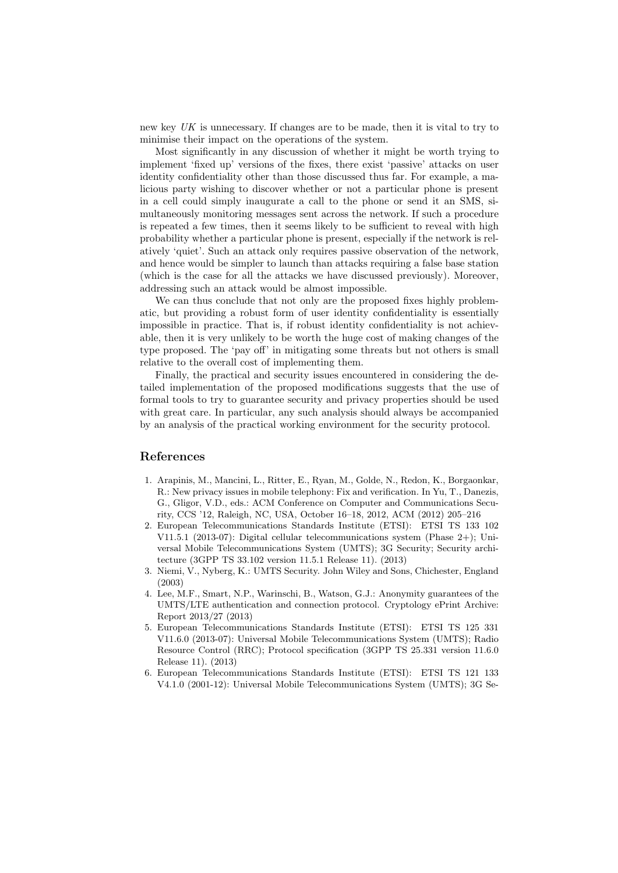new key *UK* is unnecessary. If changes are to be made, then it is vital to try to minimise their impact on the operations of the system.

Most significantly in any discussion of whether it might be worth trying to implement 'fixed up' versions of the fixes, there exist 'passive' attacks on user identity confidentiality other than those discussed thus far. For example, a malicious party wishing to discover whether or not a particular phone is present in a cell could simply inaugurate a call to the phone or send it an SMS, simultaneously monitoring messages sent across the network. If such a procedure is repeated a few times, then it seems likely to be sufficient to reveal with high probability whether a particular phone is present, especially if the network is relatively 'quiet'. Such an attack only requires passive observation of the network, and hence would be simpler to launch than attacks requiring a false base station (which is the case for all the attacks we have discussed previously). Moreover, addressing such an attack would be almost impossible.

We can thus conclude that not only are the proposed fixes highly problematic, but providing a robust form of user identity confidentiality is essentially impossible in practice. That is, if robust identity confidentiality is not achievable, then it is very unlikely to be worth the huge cost of making changes of the type proposed. The 'pay off' in mitigating some threats but not others is small relative to the overall cost of implementing them.

Finally, the practical and security issues encountered in considering the detailed implementation of the proposed modifications suggests that the use of formal tools to try to guarantee security and privacy properties should be used with great care. In particular, any such analysis should always be accompanied by an analysis of the practical working environment for the security protocol.

#### **References**

- 1. Arapinis, M., Mancini, L., Ritter, E., Ryan, M., Golde, N., Redon, K., Borgaonkar, R.: New privacy issues in mobile telephony: Fix and verification. In Yu, T., Danezis, G., Gligor, V.D., eds.: ACM Conference on Computer and Communications Security, CCS '12, Raleigh, NC, USA, October 16–18, 2012, ACM (2012) 205–216
- 2. European Telecommunications Standards Institute (ETSI): ETSI TS 133 102 V11.5.1 (2013-07): Digital cellular telecommunications system (Phase 2+); Universal Mobile Telecommunications System (UMTS); 3G Security; Security architecture (3GPP TS 33.102 version 11.5.1 Release 11). (2013)
- 3. Niemi, V., Nyberg, K.: UMTS Security. John Wiley and Sons, Chichester, England (2003)
- 4. Lee, M.F., Smart, N.P., Warinschi, B., Watson, G.J.: Anonymity guarantees of the UMTS/LTE authentication and connection protocol. Cryptology ePrint Archive: Report 2013/27 (2013)
- 5. European Telecommunications Standards Institute (ETSI): ETSI TS 125 331 V11.6.0 (2013-07): Universal Mobile Telecommunications System (UMTS); Radio Resource Control (RRC); Protocol specification (3GPP TS 25.331 version 11.6.0 Release 11). (2013)
- 6. European Telecommunications Standards Institute (ETSI): ETSI TS 121 133 V4.1.0 (2001-12): Universal Mobile Telecommunications System (UMTS); 3G Se-